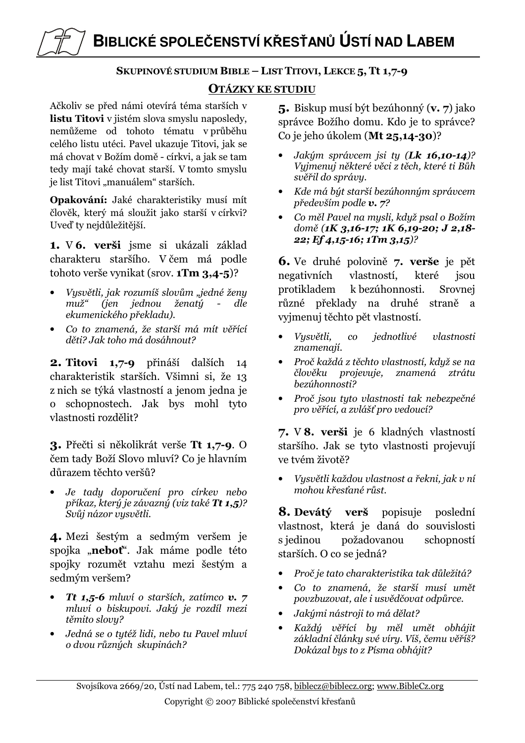# BIBLICKÉ SPOLEČENSTVÍ KŘESŤANŮ ÚSTÍ NAD LABEM

## SKUPINOVÉ STUDIUM BIBLE - LIST TITOVI, LEKCE 5, Tt 1,7-9

## **OTÁZKY KE STUDIU**

Ačkoliv se před námi otevírá téma starších v listu Titovi v jistém slova smyslu naposledy, nemůžeme od tohoto tématu v průběhu celého listu utéci. Pavel ukazuje Titovi, jak se má chovat v Božím domě - církvi, a jak se tam tedy mají také chovat starší. V tomto smyslu je list Titovi "manuálem" starších.

Opakování: Jaké charakteristiky musí mít člověk, který má sloužit jako starší v církvi? Uveď ty nejdůležitější.

1. V 6. verši jsme si ukázali základ charakteru staršího. V čem má podle tohoto verše vynikat (srov.  $1 \text{Im } 3,4-5$ )?

- Vysvětli, jak rozumíš slovům "jedné ženy  $mu\check{z}$ " (jen jednou ženatý  $\sim 10^{-10}$ dle ekumenického překladu).
- Co to znamená, že starší má mít věřící děti? Jak toho má dosáhnout?

2. Titovi 1.7-9 přináší dalších 14 charakteristik starších. Všimni si, že 13 z nich se týká vlastností a jenom jedna je o schopnostech. Jak bys mohl tyto vlastnosti rozdělit?

3. Přečti si několikrát verše Tt 1,7-9. O čem tady Boží Slovo mluví? Co je hlavním důrazem těchto veršů?

Je tady doporučení pro církev nebo příkaz, který je závazný (viz také Tt 1,5)? Svůj názor vysvětli.

4. Mezi šestým a sedmým veršem je spojka "neboť". Jak máme podle této spojky rozumět vztahu mezi šestým a sedmým veršem?

- Tt 1,5-6 mluví o starších, zatímco v. 7 mluví o biskupovi. Jaký je rozdíl mezi těmito slovu?
- Jedná se o tutéž lidi, nebo tu Pavel mluví o dvou různých skupinách?

5. Biskup musí být bezúhonný (v. 7) jako správce Božího domu. Kdo je to správce? Co je jeho úkolem (Mt 25,14-30)?

- Jakým správcem jsi ty (Lk 16,10-14)? Vyjmenuj některé věci z těch, které ti Bůh svěřil do správy.
- $\bullet$ Kde má být starší bezúhonným správcem především podle  $v$ . 7?
- Co měl Pavel na mysli, když psal o Božím domě (1K 3,16-17; 1K 6,19-20; J 2,18-22; Ef 4,15-16; 1Tm 3,15)?

6. Ve druhé polovině 7. verše je pět negativních vlastností. které isou protikladem k bezúhonnosti. Srovnej různé překlady na druhé straně a vyjmenuj těchto pět vlastností.

- Vysvětli,  $co$ jednotlivé vlastnosti znamenaií.
- Proč každá z těchto vlastností, když se na člověku projevuje, znamená ztrátu hezúhonnosti?
- Proč jsou tyto vlastnosti tak nebezpečné pro věřící, a zvlášť pro vedoucí?

7. V 8. verši je 6 kladných vlastností staršího. Jak se tyto vlastnosti projevují ve tvém životě?

Vysvětli každou vlastnost a řekni, jak v ní mohou křesťané růst.

**8. Devátý verš** popisuje poslední vlastnost, která je daná do souvislosti s jedinou požadovanou schopností starších. O co se jedná?

- Proč je tato charakteristika tak důležitá?  $\bullet$
- Co to znamená, že starší musí umět  $\bullet$ povzbuzovat, ale i usvědčovat odpůrce.
- Jakými nástroji to má dělat?
- Každý věřící by měl umět obhájit  $\bullet$ základní články své víry. Víš, čemu věříš? Dokázal bys to z Písma obhájit?